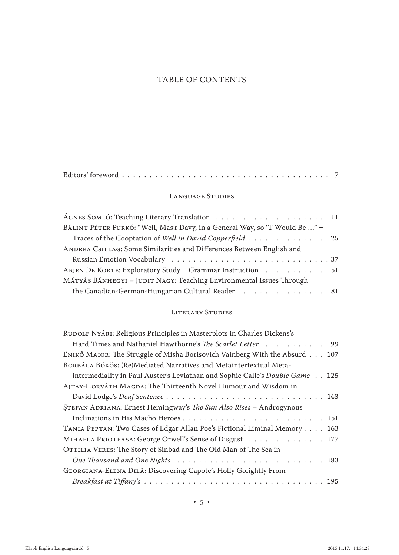# TABLE OF CONTENTS

|--|--|--|--|--|--|--|

## LANGUAGE STUDIES

| BÁLINT PÉTER FURKÓ: "Well, Mas'r Davy, in a General Way, so 'T Would Be " - |
|-----------------------------------------------------------------------------|
| Traces of the Cooptation of Well in David Copperfield 25                    |
| ANDREA CSILLAG: Some Similarities and Differences Between English and       |
|                                                                             |
| ARJEN DE KORTE: Exploratory Study - Grammar Instruction 51                  |
| MÁTYÁS BÁNHEGYI – JUDIT NAGY: Teaching Environmental Issues Through         |
| the Canadian-German-Hungarian Cultural Reader 81                            |

### LITERARY STUDIES

| RUDOLF NYÁRI: Religious Principles in Masterplots in Charles Dickens's       |
|------------------------------------------------------------------------------|
| Hard Times and Nathaniel Hawthorne's The Scarlet Letter 99                   |
| ENIKŐ MAIOR: The Struggle of Misha Borisovich Vainberg With the Absurd 107   |
| BORBÁLA BÖKÖS: (Re)Mediated Narratives and Metaintertextual Meta-            |
| intermediality in Paul Auster's Leviathan and Sophie Calle's Double Game 125 |
| AJTAY-HORVÁTH MAGDA: The Thirteenth Novel Humour and Wisdom in               |
|                                                                              |
| STEFAN ADRIANA: Ernest Hemingway's <i>The Sun Also Rises</i> - Androgynous   |
|                                                                              |
| TANIA PEPTAN: Two Cases of Edgar Allan Poe's Fictional Liminal Memory 163    |
| MIHAELA PRIOTEASA: George Orwell's Sense of Disgust 177                      |
| OTTILIA VERES: The Story of Sinbad and The Old Man of The Sea in             |
|                                                                              |
| GEORGIANA-ELENA DILĂ: Discovering Capote's Holly Golightly From              |
|                                                                              |